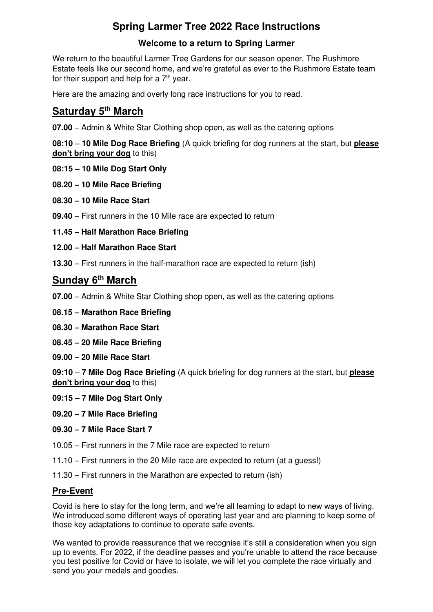# **Spring Larmer Tree 2022 Race Instructions**

# **Welcome to a return to Spring Larmer**

We return to the beautiful Larmer Tree Gardens for our season opener. The Rushmore Estate feels like our second home, and we're grateful as ever to the Rushmore Estate team for their support and help for a  $7<sup>th</sup>$  year.

Here are the amazing and overly long race instructions for you to read.

# **Saturday 5th March**

**07.00** – Admin & White Star Clothing shop open, as well as the catering options

**08:10** – **10 Mile Dog Race Briefing** (A quick briefing for dog runners at the start, but **please don't bring your dog** to this)

- **08:15 – 10 Mile Dog Start Only**
- **08.20 – 10 Mile Race Briefing**
- **08.30 – 10 Mile Race Start**
- **09.40** First runners in the 10 Mile race are expected to return

**11.45 – Half Marathon Race Briefing** 

#### **12.00 – Half Marathon Race Start**

**13.30** – First runners in the half-marathon race are expected to return (ish)

# **Sunday 6th March**

- **07.00**  Admin & White Star Clothing shop open, as well as the catering options
- **08.15 – Marathon Race Briefing**
- **08.30 – Marathon Race Start**
- **08.45 – 20 Mile Race Briefing**
- **09.00 – 20 Mile Race Start**

**09:10** – **7 Mile Dog Race Briefing** (A quick briefing for dog runners at the start, but **please don't bring your dog** to this)

- **09:15 – 7 Mile Dog Start Only**
- **09.20 – 7 Mile Race Briefing**
- **09.30 – 7 Mile Race Start 7**
- 10.05 First runners in the 7 Mile race are expected to return
- 11.10 First runners in the 20 Mile race are expected to return (at a guess!)
- 11.30 First runners in the Marathon are expected to return (ish)

## **Pre-Event**

Covid is here to stay for the long term, and we're all learning to adapt to new ways of living. We introduced some different ways of operating last year and are planning to keep some of those key adaptations to continue to operate safe events.

We wanted to provide reassurance that we recognise it's still a consideration when you sign up to events. For 2022, if the deadline passes and you're unable to attend the race because you test positive for Covid or have to isolate, we will let you complete the race virtually and send you your medals and goodies.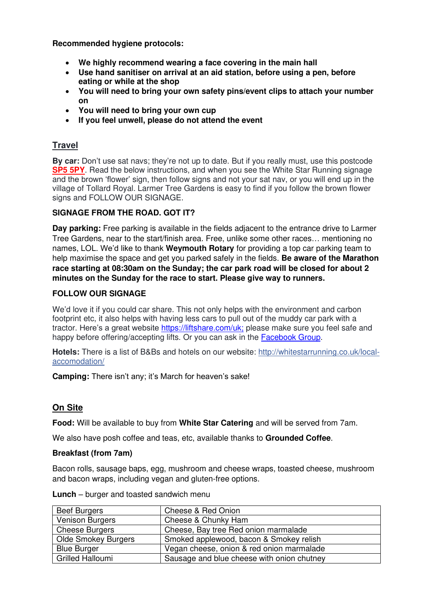**Recommended hygiene protocols:** 

- **We highly recommend wearing a face covering in the main hall**
- **Use hand sanitiser on arrival at an aid station, before using a pen, before eating or while at the shop**
- **You will need to bring your own safety pins/event clips to attach your number on**
- **You will need to bring your own cup**
- **If you feel unwell, please do not attend the event**

## **Travel**

**By car:** Don't use sat navs; they're not up to date. But if you really must, use this postcode **SP5 5PY**. Read the below instructions, and when you see the White Star Running signage and the brown 'flower' sign, then follow signs and not your sat nav, or you will end up in the village of Tollard Royal. Larmer Tree Gardens is easy to find if you follow the brown flower signs and FOLLOW OUR SIGNAGE.

#### **SIGNAGE FROM THE ROAD. GOT IT?**

**Day parking:** Free parking is available in the fields adjacent to the entrance drive to Larmer Tree Gardens, near to the start/finish area. Free, unlike some other races… mentioning no names, LOL. We'd like to thank **Weymouth Rotary** for providing a top car parking team to help maximise the space and get you parked safely in the fields. **Be aware of the Marathon race starting at 08:30am on the Sunday; the car park road will be closed for about 2 minutes on the Sunday for the race to start. Please give way to runners.** 

#### **FOLLOW OUR SIGNAGE**

We'd love it if you could car share. This not only helps with the environment and carbon footprint etc, it also helps with having less cars to pull out of the muddy car park with a tractor. Here's a great website [https://liftshare.com/uk;](https://liftshare.com/uk) please make sure you feel safe and happy before offering/accepting lifts. Or you can ask in the **Facebook Group**.

**Hotels:** There is a list of B&Bs and hotels on our website: [http://whitestarrunning.co.uk/local](https://l.facebook.com/l.php?u=http%3A%2F%2Fwhitestarrunning.co.uk%2Flocal-accomodation%2F%3Ffbclid%3DIwAR24kH-1JCB3ZPLj5kiBy5TCK_gmxNofyKuXGjwzY_jXn62sSm-YSR4-rqg&h=AT3znv5hXswtj3ZQyucCBayz3Wzo8mgIDNXaDqXE412GkiN2LlV9EBWMgA4OXds5zE9ufCqWH0oNESYS1MOLJSoN8cyYOlKSAnvsCCI920AWtnIlB2AuIm_LBHePBEjOeksrRlCkYe6FMFQTMnk)[accomodation/](https://l.facebook.com/l.php?u=http%3A%2F%2Fwhitestarrunning.co.uk%2Flocal-accomodation%2F%3Ffbclid%3DIwAR24kH-1JCB3ZPLj5kiBy5TCK_gmxNofyKuXGjwzY_jXn62sSm-YSR4-rqg&h=AT3znv5hXswtj3ZQyucCBayz3Wzo8mgIDNXaDqXE412GkiN2LlV9EBWMgA4OXds5zE9ufCqWH0oNESYS1MOLJSoN8cyYOlKSAnvsCCI920AWtnIlB2AuIm_LBHePBEjOeksrRlCkYe6FMFQTMnk) 

**Camping:** There isn't any; it's March for heaven's sake!

# **On Site**

**Food:** Will be available to buy from **White Star Catering** and will be served from 7am.

We also have posh coffee and teas, etc, available thanks to **Grounded Coffee**.

## **Breakfast (from 7am)**

Bacon rolls, sausage baps, egg, mushroom and cheese wraps, toasted cheese, mushroom and bacon wraps, including vegan and gluten-free options.

| <b>Beef Burgers</b>    | Cheese & Red Onion                         |
|------------------------|--------------------------------------------|
| <b>Venison Burgers</b> | Cheese & Chunky Ham                        |
| <b>Cheese Burgers</b>  | Cheese, Bay tree Red onion marmalade       |
| Olde Smokey Burgers    | Smoked applewood, bacon & Smokey relish    |
| <b>Blue Burger</b>     | Vegan cheese, onion & red onion marmalade  |
| Grilled Halloumi       | Sausage and blue cheese with onion chutney |

|  |  | <b>Lunch</b> – burger and toasted sandwich menu |
|--|--|-------------------------------------------------|
|--|--|-------------------------------------------------|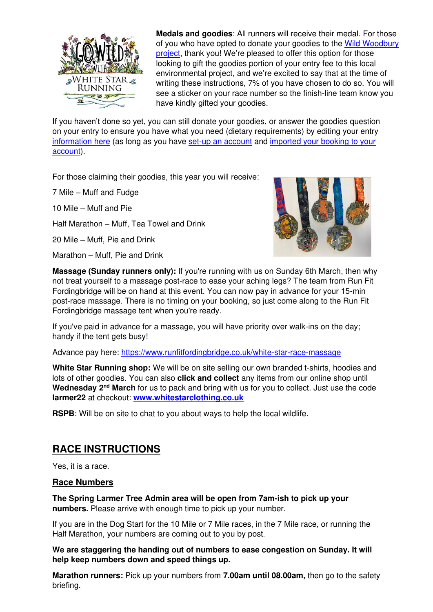

**Medals and goodies**: All runners will receive their medal. For those of you who have opted to donate your goodies to the Wild Woodbury [project,](https://whitestarrunning.co.uk/wild-woodbury/) thank you! We're pleased to offer this option for those looking to gift the goodies portion of your entry fee to this local environmental project, and we're excited to say that at the time of writing these instructions, 7% of you have chosen to do so. You will see a sticker on your race number so the finish-line team know you have kindly gifted your goodies.

If you haven't done so yet, you can still donate your goodies, or answer the goodies question on your entry to ensure you have what you need (dietary requirements) by editing your entry [information here](https://whitestarrunning.co.uk/wp-content/uploads/2021/06/How-to-edit-and-manage-my-entry.pdf) (as long as you have [set-up an account](https://whitestarrunning.clubtrac.co.uk/register) and [imported your booking to your](https://whitestarrunning.co.uk/wp-content/uploads/2022/02/importing-booking-instructions.pdf)  [account\)](https://whitestarrunning.co.uk/wp-content/uploads/2022/02/importing-booking-instructions.pdf).

For those claiming their goodies, this year you will receive:

7 Mile – Muff and Fudge

10 Mile – Muff and Pie

Half Marathon – Muff, Tea Towel and Drink

20 Mile – Muff, Pie and Drink

Marathon – Muff, Pie and Drink



**Massage (Sunday runners only):** If you're running with us on Sunday 6th March, then why not treat yourself to a massage post-race to ease your aching legs? The team from Run Fit Fordingbridge will be on hand at this event. You can now pay in advance for your 15-min post-race massage. There is no timing on your booking, so just come along to the Run Fit Fordingbridge massage tent when you're ready.

If you've paid in advance for a massage, you will have priority over walk-ins on the day; handy if the tent gets busy!

Advance pay here: <https://www.runfitfordingbridge.co.uk/white-star-race-massage>

**White Star Running shop:** We will be on site selling our own branded t-shirts, hoodies and lots of other goodies. You can also **click and collect** any items from our online shop until Wednesday 2<sup>nd</sup> March for us to pack and bring with us for you to collect. Just use the code **larmer22** at checkout: **[www.whitestarclothing.co.uk](http://www.whitestarclothing.co.uk/)**

**RSPB**: Will be on site to chat to you about ways to help the local wildlife.

# **RACE INSTRUCTIONS**

Yes, it is a race.

#### **Race Numbers**

**The Spring Larmer Tree Admin area will be open from 7am-ish to pick up your numbers.** Please arrive with enough time to pick up your number.

If you are in the Dog Start for the 10 Mile or 7 Mile races, in the 7 Mile race, or running the Half Marathon, your numbers are coming out to you by post.

**We are staggering the handing out of numbers to ease congestion on Sunday. It will help keep numbers down and speed things up.** 

**Marathon runners:** Pick up your numbers from **7.00am until 08.00am,** then go to the safety briefing.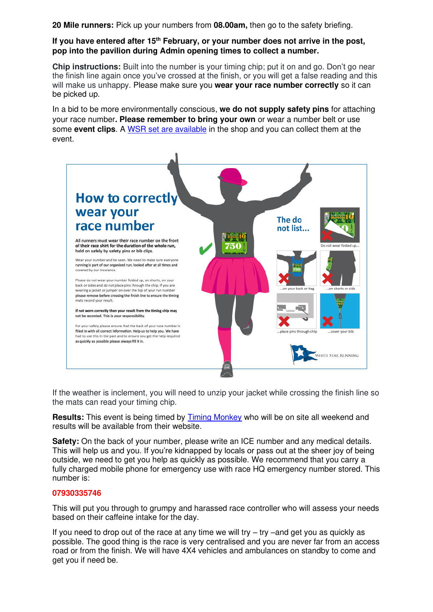**20 Mile runners:** Pick up your numbers from **08.00am,** then go to the safety briefing.

#### **If you have entered after 15th February, or your number does not arrive in the post, pop into the pavilion during Admin opening times to collect a number.**

**Chip instructions:** Built into the number is your timing chip; put it on and go. Don't go near the finish line again once you've crossed at the finish, or you will get a false reading and this will make us unhappy. Please make sure you **wear your race number correctly** so it can be picked up.

In a bid to be more environmentally conscious, **we do not supply safety pins** for attaching your race number**. Please remember to bring your own** or wear a number belt or use some **event clips**. A [WSR set are available](https://whitestarclothing.co.uk/collections/kit-kabbodle/products/4-pack-cow-event-clips) in the shop and you can collect them at the event.



If the weather is inclement, you will need to unzip your jacket while crossing the finish line so the mats can read your timing chip.

**Results:** This event is being timed by [Timing Monkey](https://www.timingmonkey.co.uk/results-list/) who will be on site all weekend and results will be available from their website.

**Safety:** On the back of your number, please write an ICE number and any medical details. This will help us and you. If you're kidnapped by locals or pass out at the sheer joy of being outside, we need to get you help as quickly as possible. We recommend that you carry a fully charged mobile phone for emergency use with race HQ emergency number stored. This number is:

#### **07930335746**

This will put you through to grumpy and harassed race controller who will assess your needs based on their caffeine intake for the day.

If you need to drop out of the race at any time we will try  $-$  try  $-$  and get you as quickly as possible. The good thing is the race is very centralised and you are never far from an access road or from the finish. We will have 4X4 vehicles and ambulances on standby to come and get you if need be.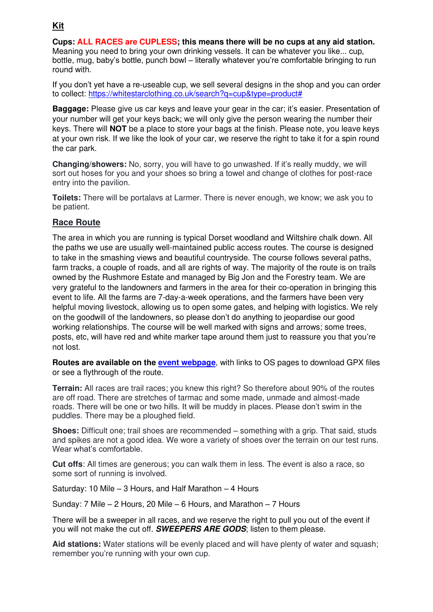# **Kit**

**Cups: ALL RACES are CUPLESS; this means there will be no cups at any aid station.**  Meaning you need to bring your own drinking vessels. It can be whatever you like... cup, bottle, mug, baby's bottle, punch bowl – literally whatever you're comfortable bringing to run round with.

If you don't yet have a re-useable cup, we sell several designs in the shop and you can order to collect: [https://whitestarclothing.co.uk/search?q=cup&type=product#](https://whitestarclothing.co.uk/search?q=cup&type=product)

**Baggage:** Please give us car keys and leave your gear in the car; it's easier. Presentation of your number will get your keys back; we will only give the person wearing the number their keys. There will **NOT** be a place to store your bags at the finish. Please note, you leave keys at your own risk. If we like the look of your car, we reserve the right to take it for a spin round the car park.

**Changing/showers:** No, sorry, you will have to go unwashed. If it's really muddy, we will sort out hoses for you and your shoes so bring a towel and change of clothes for post-race entry into the pavilion.

**Toilets:** There will be portalavs at Larmer. There is never enough, we know; we ask you to be patient.

## **Race Route**

The area in which you are running is typical Dorset woodland and Wiltshire chalk down. All the paths we use are usually well-maintained public access routes. The course is designed to take in the smashing views and beautiful countryside. The course follows several paths, farm tracks, a couple of roads, and all are rights of way. The majority of the route is on trails owned by the Rushmore Estate and managed by Big Jon and the Forestry team. We are very grateful to the landowners and farmers in the area for their co-operation in bringing this event to life. All the farms are 7-day-a-week operations, and the farmers have been very helpful moving livestock, allowing us to open some gates, and helping with logistics. We rely on the goodwill of the landowners, so please don't do anything to jeopardise our good working relationships. The course will be well marked with signs and arrows; some trees, posts, etc, will have red and white marker tape around them just to reassure you that you're not lost.

**Routes are available on the [event webpage](https://whitestarrunning.clubtrac.co.uk/e/spring-larmer-7652/route-maps)**, with links to OS pages to download GPX files or see a flythrough of the route.

**Terrain:** All races are trail races; you knew this right? So therefore about 90% of the routes are off road. There are stretches of tarmac and some made, unmade and almost-made roads. There will be one or two hills. It will be muddy in places. Please don't swim in the puddles. There may be a ploughed field.

**Shoes:** Difficult one; trail shoes are recommended – something with a grip. That said, studs and spikes are not a good idea. We wore a variety of shoes over the terrain on our test runs. Wear what's comfortable.

**Cut offs**: All times are generous; you can walk them in less. The event is also a race, so some sort of running is involved.

Saturday: 10 Mile – 3 Hours, and Half Marathon – 4 Hours

Sunday: 7 Mile – 2 Hours, 20 Mile – 6 Hours, and Marathon – 7 Hours

There will be a sweeper in all races, and we reserve the right to pull you out of the event if you will not make the cut off. **SWEEPERS ARE GODS**; listen to them please.

**Aid stations:** Water stations will be evenly placed and will have plenty of water and squash; remember you're running with your own cup.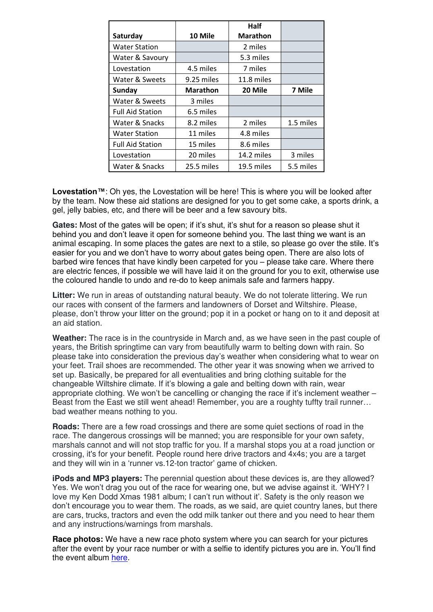|                         |            | Half            |           |
|-------------------------|------------|-----------------|-----------|
| Saturday                | 10 Mile    | <b>Marathon</b> |           |
| <b>Water Station</b>    |            | 2 miles         |           |
| Water & Savoury         |            | 5.3 miles       |           |
| Lovestation             | 4.5 miles  | 7 miles         |           |
| Water & Sweets          | 9.25 miles | 11.8 miles      |           |
| Sunday                  | Marathon   | 20 Mile         | 7 Mile    |
| Water & Sweets          | 3 miles    |                 |           |
| <b>Full Aid Station</b> | 6.5 miles  |                 |           |
| Water & Snacks          | 8.2 miles  | 2 miles         | 1.5 miles |
| <b>Water Station</b>    | 11 miles   | 4.8 miles       |           |
| <b>Full Aid Station</b> | 15 miles   | 8.6 miles       |           |
| Lovestation             | 20 miles   | 14.2 miles      | 3 miles   |
| Water & Snacks          | 25.5 miles | 19.5 miles      | 5.5 miles |

**Lovestation™**: Oh yes, the Lovestation will be here! This is where you will be looked after by the team. Now these aid stations are designed for you to get some cake, a sports drink, a gel, jelly babies, etc, and there will be beer and a few savoury bits.

**Gates:** Most of the gates will be open; if it's shut, it's shut for a reason so please shut it behind you and don't leave it open for someone behind you. The last thing we want is an animal escaping. In some places the gates are next to a stile, so please go over the stile. It's easier for you and we don't have to worry about gates being open. There are also lots of barbed wire fences that have kindly been carpeted for you – please take care. Where there are electric fences, if possible we will have laid it on the ground for you to exit, otherwise use the coloured handle to undo and re-do to keep animals safe and farmers happy.

**Litter:** We run in areas of outstanding natural beauty. We do not tolerate littering. We run our races with consent of the farmers and landowners of Dorset and Wiltshire. Please, please, don't throw your litter on the ground; pop it in a pocket or hang on to it and deposit at an aid station.

**Weather:** The race is in the countryside in March and, as we have seen in the past couple of years, the British springtime can vary from beautifully warm to belting down with rain. So please take into consideration the previous day's weather when considering what to wear on your feet. Trail shoes are recommended. The other year it was snowing when we arrived to set up. Basically, be prepared for all eventualities and bring clothing suitable for the changeable Wiltshire climate. If it's blowing a gale and belting down with rain, wear appropriate clothing. We won't be cancelling or changing the race if it's inclement weather – Beast from the East we still went ahead! Remember, you are a roughty tuffty trail runner... bad weather means nothing to you.

**Roads:** There are a few road crossings and there are some quiet sections of road in the race. The dangerous crossings will be manned; you are responsible for your own safety, marshals cannot and will not stop traffic for you. If a marshal stops you at a road junction or crossing, it's for your benefit. People round here drive tractors and 4x4s; you are a target and they will win in a 'runner vs.12-ton tractor' game of chicken.

**iPods and MP3 players:** The perennial question about these devices is, are they allowed? Yes. We won't drag you out of the race for wearing one, but we advise against it. 'WHY? I love my Ken Dodd Xmas 1981 album; I can't run without it'. Safety is the only reason we don't encourage you to wear them. The roads, as we said, are quiet country lanes, but there are cars, trucks, tractors and even the odd milk tanker out there and you need to hear them and any instructions/warnings from marshals.

**Race photos:** We have a new race photo system where you can search for your pictures after the event by your race number or with a selfie to identify pictures you are in. You'll find the event album [here.](https://wsr.thesearchfactory.com/library/events)